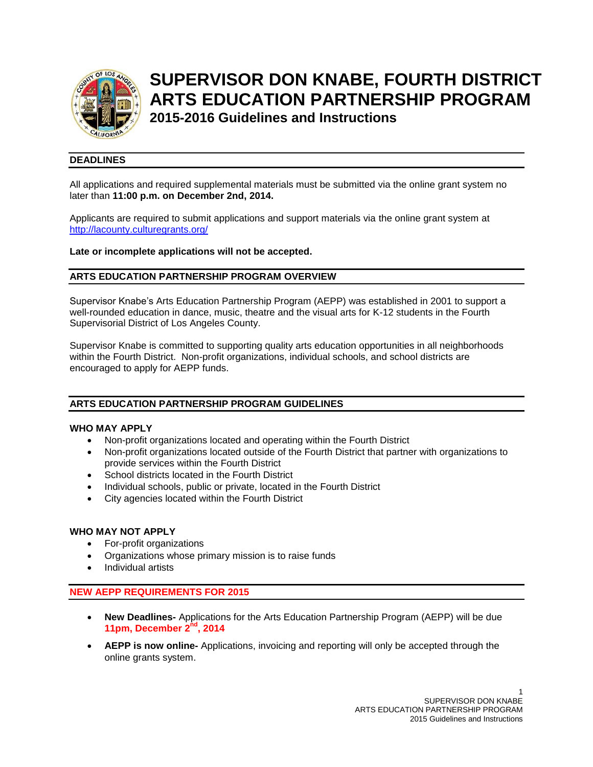

# **SUPERVISOR DON KNABE, FOURTH DISTRICT ARTS EDUCATION PARTNERSHIP PROGRAM**

**2015-2016 Guidelines and Instructions** 

# **DEADLINES**

All applications and required supplemental materials must be submitted via the online grant system no later than **11:00 p.m. on December 2nd, 2014.**

Applicants are required to submit applications and support materials via the online grant system at <http://lacounty.culturegrants.org/>

**Late or incomplete applications will not be accepted.**

# **ARTS EDUCATION PARTNERSHIP PROGRAM OVERVIEW**

Supervisor Knabe's Arts Education Partnership Program (AEPP) was established in 2001 to support a well-rounded education in dance, music, theatre and the visual arts for K-12 students in the Fourth Supervisorial District of Los Angeles County.

Supervisor Knabe is committed to supporting quality arts education opportunities in all neighborhoods within the Fourth District. Non-profit organizations, individual schools, and school districts are encouraged to apply for AEPP funds.

# **ARTS EDUCATION PARTNERSHIP PROGRAM GUIDELINES**

# **WHO MAY APPLY**

- Non-profit organizations located and operating within the Fourth District
- Non-profit organizations located outside of the Fourth District that partner with organizations to provide services within the Fourth District
- School districts located in the Fourth District
- Individual schools, public or private, located in the Fourth District
- City agencies located within the Fourth District

## **WHO MAY NOT APPLY**

- For-profit organizations
- Organizations whose primary mission is to raise funds
- Individual artists

## **NEW AEPP REQUIREMENTS FOR 2015**

- **New Deadlines-** Applications for the Arts Education Partnership Program (AEPP) will be due **11pm, December 2nd, 2014**
- **AEPP is now online-** Applications, invoicing and reporting will only be accepted through the online grants system.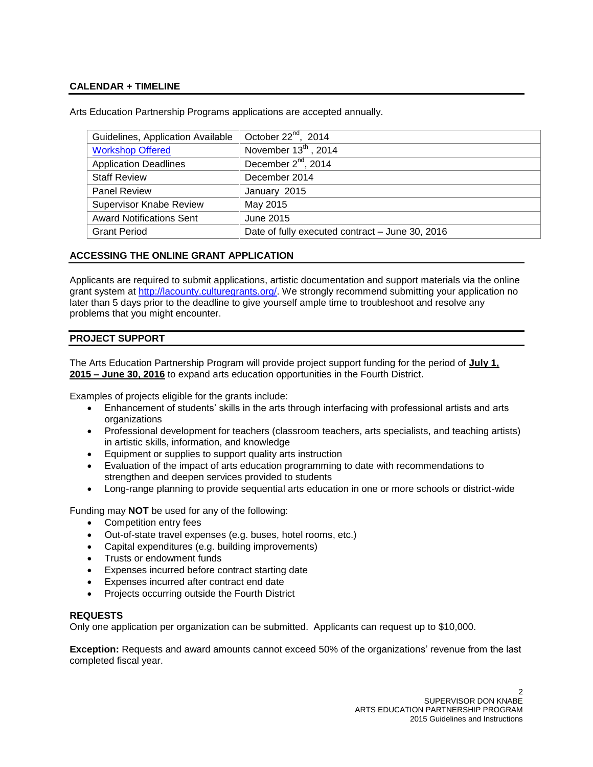## **CALENDAR + TIMELINE**

| Guidelines, Application Available | October $22^{nd}$ , 2014                        |
|-----------------------------------|-------------------------------------------------|
| <b>Workshop Offered</b>           | November 13th, 2014                             |
| <b>Application Deadlines</b>      | December $2^{nd}$ , $2014$                      |
| <b>Staff Review</b>               | December 2014                                   |
| <b>Panel Review</b>               | January 2015                                    |
| <b>Supervisor Knabe Review</b>    | May 2015                                        |
| <b>Award Notifications Sent</b>   | June 2015                                       |
| <b>Grant Period</b>               | Date of fully executed contract - June 30, 2016 |

Arts Education Partnership Programs applications are accepted annually.

# **ACCESSING THE ONLINE GRANT APPLICATION**

Applicants are required to submit applications, artistic documentation and support materials via the online grant system at [http://lacounty.culturegrants.org/.](http://lacounty.culturegrants.org/) We strongly recommend submitting your application no later than 5 days prior to the deadline to give yourself ample time to troubleshoot and resolve any problems that you might encounter.

## **PROJECT SUPPORT**

The Arts Education Partnership Program will provide project support funding for the period of **July 1, 2015 – June 30, 2016** to expand arts education opportunities in the Fourth District.

Examples of projects eligible for the grants include:

- Enhancement of students' skills in the arts through interfacing with professional artists and arts organizations
- Professional development for teachers (classroom teachers, arts specialists, and teaching artists) in artistic skills, information, and knowledge
- Equipment or supplies to support quality arts instruction
- Evaluation of the impact of arts education programming to date with recommendations to strengthen and deepen services provided to students
- Long-range planning to provide sequential arts education in one or more schools or district-wide

Funding may **NOT** be used for any of the following:

- Competition entry fees
- Out-of-state travel expenses (e.g. buses, hotel rooms, etc.)
- Capital expenditures (e.g. building improvements)
- Trusts or endowment funds
- Expenses incurred before contract starting date
- Expenses incurred after contract end date
- Projects occurring outside the Fourth District

## **REQUESTS**

Only one application per organization can be submitted. Applicants can request up to \$10,000.

**Exception:** Requests and award amounts cannot exceed 50% of the organizations' revenue from the last completed fiscal year.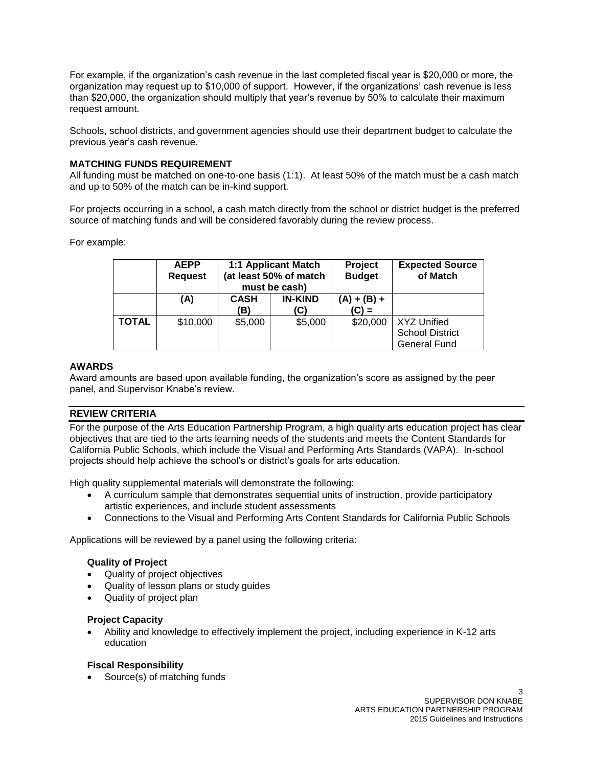For example, if the organization's cash revenue in the last completed fiscal year is \$20,000 or more, the organization may request up to \$10,000 of support. However, if the organizations' cash revenue is less than \$20,000, the organization should multiply that year's revenue by 50% to calculate their maximum request amount.

Schools, school districts, and government agencies should use their department budget to calculate the previous year's cash revenue.

## **MATCHING FUNDS REQUIREMENT**

All funding must be matched on one-to-one basis (1:1). At least 50% of the match must be a cash match and up to 50% of the match can be in-kind support.

For projects occurring in a school, a cash match directly from the school or district budget is the preferred source of matching funds and will be considered favorably during the review process.

For example:

|              | <b>AEPP</b><br><b>Request</b> | 1:1 Applicant Match<br>(at least 50% of match<br>must be cash) |                       | Project<br><b>Budget</b> | <b>Expected Source</b><br>of Match                                  |
|--------------|-------------------------------|----------------------------------------------------------------|-----------------------|--------------------------|---------------------------------------------------------------------|
|              | (A)                           | <b>CASH</b><br>ΈB)                                             | <b>IN-KIND</b><br>(C) | $(A) + (B) +$<br>$(C) =$ |                                                                     |
| <b>TOTAL</b> | \$10,000                      | \$5,000                                                        | \$5,000               | \$20,000                 | <b>XYZ Unified</b><br><b>School District</b><br><b>General Fund</b> |

## **AWARDS**

Award amounts are based upon available funding, the organization's score as assigned by the peer panel, and Supervisor Knabe's review.

## **REVIEW CRITERIA**

For the purpose of the Arts Education Partnership Program, a high quality arts education project has clear objectives that are tied to the arts learning needs of the students and meets the Content Standards for California Public Schools, which include the Visual and Performing Arts Standards (VAPA). In-school projects should help achieve the school's or district's goals for arts education.

High quality supplemental materials will demonstrate the following:

- A curriculum sample that demonstrates sequential units of instruction, provide participatory artistic experiences, and include student assessments
- Connections to the Visual and Performing Arts Content Standards for California Public Schools

Applications will be reviewed by a panel using the following criteria:

## **Quality of Project**

- Quality of project objectives
- Quality of lesson plans or study guides
- Quality of project plan

## **Project Capacity**

 Ability and knowledge to effectively implement the project, including experience in K-12 arts education

## **Fiscal Responsibility**

Source(s) of matching funds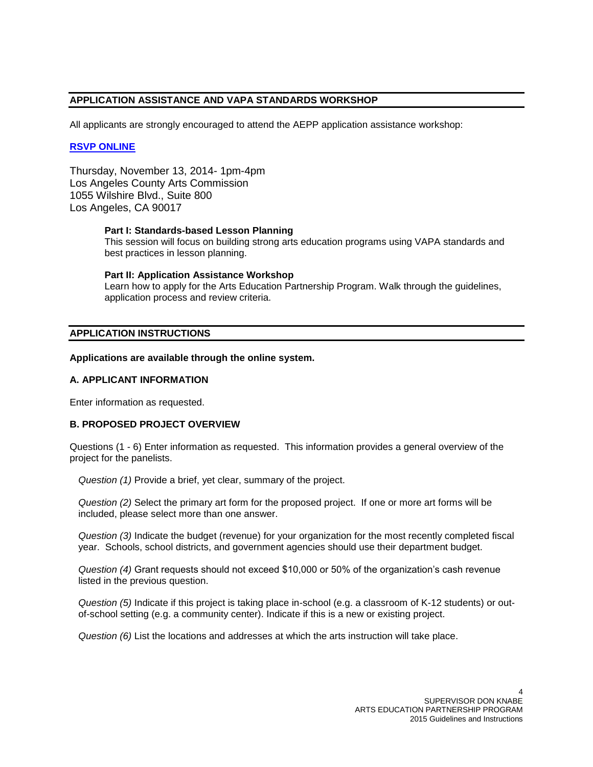# **APPLICATION ASSISTANCE AND VAPA STANDARDS WORKSHOP**

All applicants are strongly encouraged to attend the AEPP application assistance workshop:

## **[RSVP ONLINE](https://www.eventbrite.com/e/aepp-2015-workshop-tickets-13009438581)**

Thursday, November 13, 2014- 1pm-4pm Los Angeles County Arts Commission 1055 Wilshire Blvd., Suite 800 Los Angeles, CA 90017

#### **Part I: Standards-based Lesson Planning**

This session will focus on building strong arts education programs using VAPA standards and best practices in lesson planning.

#### **Part II: Application Assistance Workshop**

Learn how to apply for the Arts Education Partnership Program. Walk through the guidelines, application process and review criteria.

# **APPLICATION INSTRUCTIONS**

#### **Applications are available through the online system.**

## **A. APPLICANT INFORMATION**

Enter information as requested.

## **B. PROPOSED PROJECT OVERVIEW**

Questions (1 - 6) Enter information as requested. This information provides a general overview of the project for the panelists.

*Question (1)* Provide a brief, yet clear, summary of the project.

*Question (2)* Select the primary art form for the proposed project. If one or more art forms will be included, please select more than one answer.

*Question (3)* Indicate the budget (revenue) for your organization for the most recently completed fiscal year. Schools, school districts, and government agencies should use their department budget.

*Question (4)* Grant requests should not exceed \$10,000 or 50% of the organization's cash revenue listed in the previous question.

*Question (5)* Indicate if this project is taking place in-school (e.g. a classroom of K-12 students) or outof-school setting (e.g. a community center). Indicate if this is a new or existing project.

*Question (6)* List the locations and addresses at which the arts instruction will take place.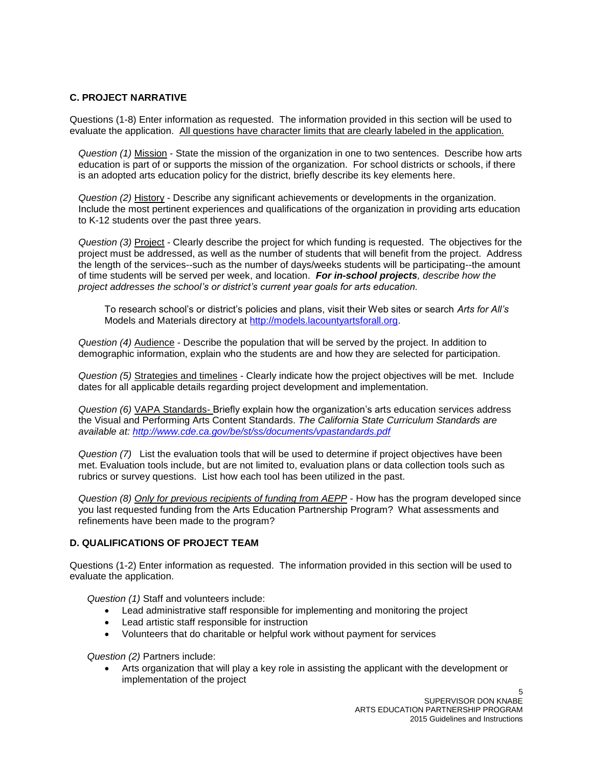## **C. PROJECT NARRATIVE**

Questions (1-8) Enter information as requested. The information provided in this section will be used to evaluate the application. All questions have character limits that are clearly labeled in the application.

*Question (1)* Mission - State the mission of the organization in one to two sentences. Describe how arts education is part of or supports the mission of the organization. For school districts or schools, if there is an adopted arts education policy for the district, briefly describe its key elements here.

*Question (2)* History - Describe any significant achievements or developments in the organization. Include the most pertinent experiences and qualifications of the organization in providing arts education to K-12 students over the past three years.

*Question (3)* Project *-* Clearly describe the project for which funding is requested. The objectives for the project must be addressed, as well as the number of students that will benefit from the project. Address the length of the services--such as the number of days/weeks students will be participating--the amount of time students will be served per week, and location. *For in-school projects, describe how the project addresses the school's or district's current year goals for arts education.* 

To research school's or district's policies and plans, visit their Web sites or search *Arts for All's* Models and Materials directory at [http://models.lacountyartsforall.org.](http://models.lacountyartsforall.org/)

*Question (4)* Audience - Describe the population that will be served by the project. In addition to demographic information, explain who the students are and how they are selected for participation.

*Question (5)* Strategies and timelines - Clearly indicate how the project objectives will be met. Include dates for all applicable details regarding project development and implementation.

*Question (6)* VAPA Standards- Briefly explain how the organization's arts education services address the Visual and Performing Arts Content Standards. *The California State Curriculum Standards are available at: [http://www.cde.ca.gov/be/st/ss/documents/vpastandards.pdf](http://www.laartsed.org/search.aspx)*

*Question (7)* List the evaluation tools that will be used to determine if project objectives have been met. Evaluation tools include, but are not limited to, evaluation plans or data collection tools such as rubrics or survey questions. List how each tool has been utilized in the past.

*Question (8) Only for previous recipients of funding from AEPP* - How has the program developed since you last requested funding from the Arts Education Partnership Program? What assessments and refinements have been made to the program?

## **D. QUALIFICATIONS OF PROJECT TEAM**

Questions (1-2) Enter information as requested. The information provided in this section will be used to evaluate the application.

*Question (1)* Staff and volunteers include:

- Lead administrative staff responsible for implementing and monitoring the project
- Lead artistic staff responsible for instruction
- Volunteers that do charitable or helpful work without payment for services

*Question (2)* Partners include:

 Arts organization that will play a key role in assisting the applicant with the development or implementation of the project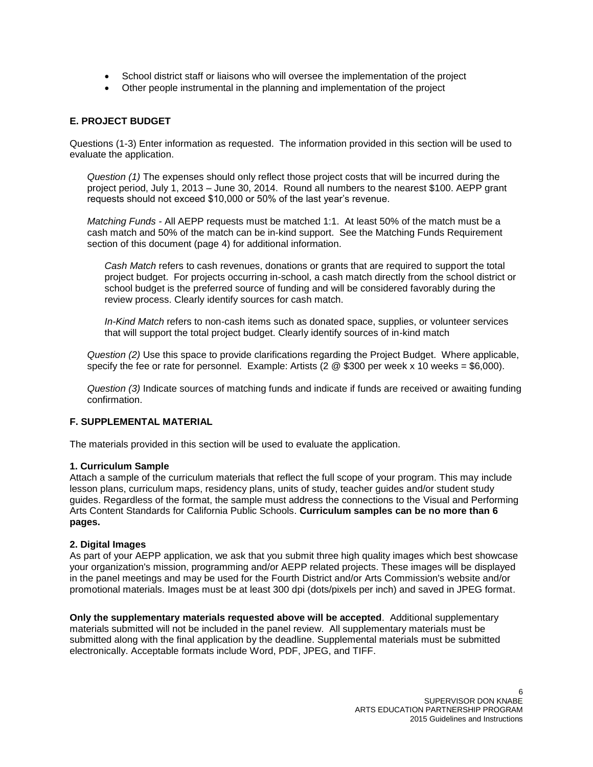- School district staff or liaisons who will oversee the implementation of the project
- Other people instrumental in the planning and implementation of the project

# **E. PROJECT BUDGET**

Questions (1-3) Enter information as requested. The information provided in this section will be used to evaluate the application.

*Question (1)* The expenses should only reflect those project costs that will be incurred during the project period, July 1, 2013 – June 30, 2014. Round all numbers to the nearest \$100. AEPP grant requests should not exceed \$10,000 or 50% of the last year's revenue.

*Matching Funds -* All AEPP requests must be matched 1:1. At least 50% of the match must be a cash match and 50% of the match can be in-kind support. See the Matching Funds Requirement section of this document (page 4) for additional information.

*Cash Match* refers to cash revenues, donations or grants that are required to support the total project budget. For projects occurring in-school, a cash match directly from the school district or school budget is the preferred source of funding and will be considered favorably during the review process. Clearly identify sources for cash match.

*In-Kind Match* refers to non-cash items such as donated space, supplies, or volunteer services that will support the total project budget. Clearly identify sources of in-kind match

*Question (2)* Use this space to provide clarifications regarding the Project Budget. Where applicable, specify the fee or rate for personnel. Example: Artists (2 @ \$300 per week x 10 weeks = \$6,000).

*Question (3)* Indicate sources of matching funds and indicate if funds are received or awaiting funding confirmation.

## **F. SUPPLEMENTAL MATERIAL**

The materials provided in this section will be used to evaluate the application.

## **1. Curriculum Sample**

Attach a sample of the curriculum materials that reflect the full scope of your program. This may include lesson plans, curriculum maps, residency plans, units of study, teacher guides and/or student study guides. Regardless of the format, the sample must address the connections to the Visual and Performing Arts Content Standards for California Public Schools. **Curriculum samples can be no more than 6 pages.**

## **2. Digital Images**

As part of your AEPP application, we ask that you submit three high quality images which best showcase your organization's mission, programming and/or AEPP related projects. These images will be displayed in the panel meetings and may be used for the Fourth District and/or Arts Commission's website and/or promotional materials. Images must be at least 300 dpi (dots/pixels per inch) and saved in JPEG format.

**Only the supplementary materials requested above will be accepted**. Additional supplementary materials submitted will not be included in the panel review. All supplementary materials must be submitted along with the final application by the deadline. Supplemental materials must be submitted electronically. Acceptable formats include Word, PDF, JPEG, and TIFF.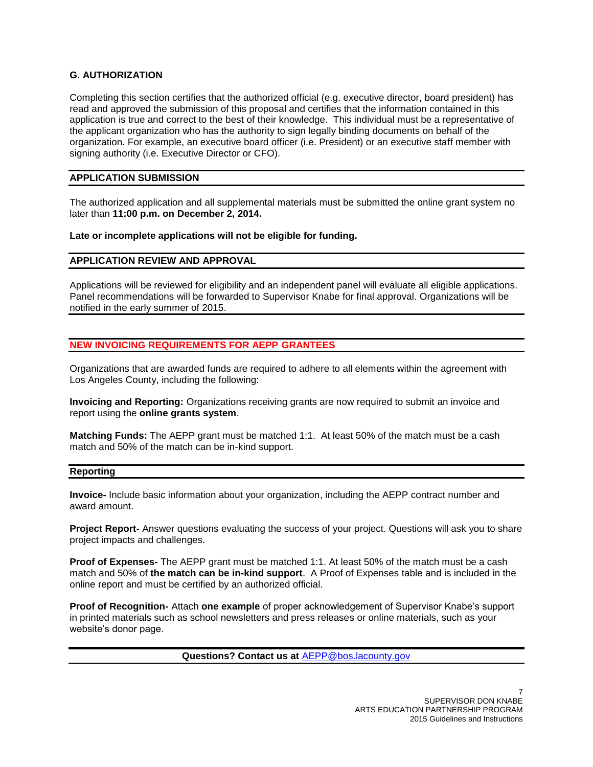# **G. AUTHORIZATION**

Completing this section certifies that the authorized official (e.g. executive director, board president) has read and approved the submission of this proposal and certifies that the information contained in this application is true and correct to the best of their knowledge. This individual must be a representative of the applicant organization who has the authority to sign legally binding documents on behalf of the organization. For example, an executive board officer (i.e. President) or an executive staff member with signing authority (i.e. Executive Director or CFO).

## **APPLICATION SUBMISSION**

The authorized application and all supplemental materials must be submitted the online grant system no later than **11:00 p.m. on December 2, 2014.**

**Late or incomplete applications will not be eligible for funding.**

## **APPLICATION REVIEW AND APPROVAL**

Applications will be reviewed for eligibility and an independent panel will evaluate all eligible applications. Panel recommendations will be forwarded to Supervisor Knabe for final approval. Organizations will be notified in the early summer of 2015.

# **NEW INVOICING REQUIREMENTS FOR AEPP GRANTEES**

Organizations that are awarded funds are required to adhere to all elements within the agreement with Los Angeles County, including the following:

**Invoicing and Reporting:** Organizations receiving grants are now required to submit an invoice and report using the **online grants system**.

**Matching Funds:** The AEPP grant must be matched 1:1. At least 50% of the match must be a cash match and 50% of the match can be in-kind support.

## **Reporting**

**Invoice-** Include basic information about your organization, including the AEPP contract number and award amount.

**Project Report-** Answer questions evaluating the success of your project. Questions will ask you to share project impacts and challenges.

**Proof of Expenses-** The AEPP grant must be matched 1:1. At least 50% of the match must be a cash match and 50% of **the match can be in-kind support**. A Proof of Expenses table and is included in the online report and must be certified by an authorized official.

**Proof of Recognition-** Attach **one example** of proper acknowledgement of Supervisor Knabe's support in printed materials such as school newsletters and press releases or online materials, such as your website's donor page.

**Questions? Contact us at** [AEPP@bos.lacounty.gov](mailto:AEPP@bos.lacounty.gov)